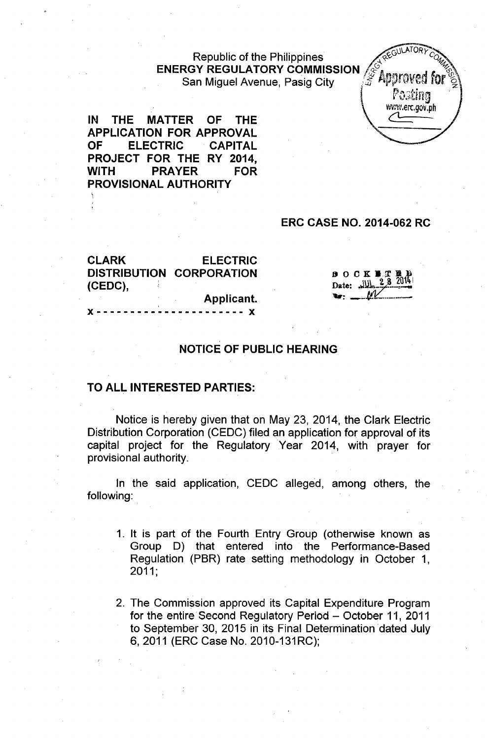## Republic of the Philippines ENERGY REGULATORY COMMISSION */* $\mathcal{E}_{\text{harmonic}}$  *...* San Miguel Avenue, Pasig City .;'\$ 1ii"'~m\fedfor ~



IN THE MATTER OF THE APPLICATION FOR APPROVAL OF ELECTRIC CAPITAL PROJECT FOR THE RY 2014, WITH PRAYER FOR PROVISIONAL AUTHORITY

## ERC CASE NO. 2014-062 RC

| <b>CLARK</b>         | <b>ELECTRIC</b>                 |
|----------------------|---------------------------------|
|                      | <b>DISTRIBUTION CORPORATION</b> |
| (CEDC),              |                                 |
|                      | Applicant.                      |
| ٠<br><b>Y</b> ------ | ------- <b>Y</b>                |

| $B$ O C K <b>B</b> T <b>B</b> D<br>Date: $\frac{  y  }{2}$ $\frac{2}{8}$ $\frac{201}{4}$ |  |
|------------------------------------------------------------------------------------------|--|

### NOTICE OF PUBLIC HEARING

### TO ALL INTERESTED PARTIES:

Notice is hereby given that on May 23, 2014, the Clark Electric Distribution Corporation (CEDC) filed an application for approval of its capital project for the Regulatory Year 2014, with prayer for provisional authority.

In the said application, CEDC alleged, among others, the following:

- 1. It is part of the Fourth Entry Group (otherwise known as Group D) that entered into the Performance-Based Regulation (PBR) rate setting methodology in October 1, 2011;
- 2. The Commission approved its Capital Expenditure Program for the entire Second Regulatory Period - October 11, 2011 to September 30, 2015 in its Final Determination dated July 6,2011 (ERC Case No. 2010-131RC);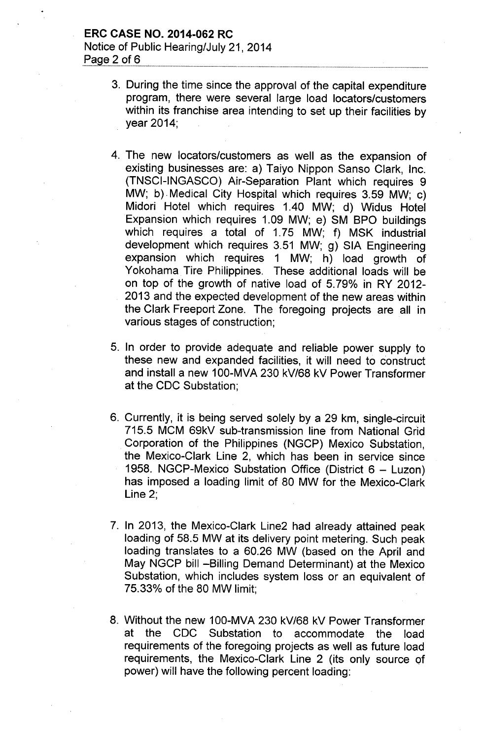## **ERC CASE NO. 2014-062 RC** Notice of Public Hearing/July 21, 2014 Page 2 of  $6$

- 3. During the time since the approval of the capital expenditure program, there were several large load locators/customers within its franchise area intending to set up their facilities by year 2014;
- 4. The new locators/customers as well as the expansion of existing businesses are: a) Taiyo Nippon Sanso Clark, Inc. (TNSCI-INGASCO) Air-Separation Plant which requires 9 MW; b). Medical City Hospital which requires 3.59 MW; c) Midori Hotel which requires 1.40 MW; d) Widus Hotel Expansion which requires 1.09 MW; e) SM BPO buildings which requires a total of 1.75 MW; f) MSK industrial development which requires 3.51 MW; g) SIA Engineering expansion which requires 1 MW; h) load growth of Yokohama Tire Philippines. These additional loads will be on top of the growth of native load of 5.79% in RY 2012- 2013 and the expected development of the new areas within the Clark Freeport Zone. The foregoing projects are all in various stages of construction;
- 5. In order to provide adequate and reliable power supply to these new and expanded facilities, it will need to construct and install a new 1OO-MVA230 kV/68 kV Power Transformer at the CDC Substation;
- 6. Currently, it is being served solely by a 29 km, single-circuit 715.5 MCM 69kV sub-transmission line from National Grid Corporation of the Philippines (NGCP) Mexico Substation, the Mexico-Clark Line 2, which has been in service since 1958. NGCP-Mexico Substation Office (District 6 - Luzon) has imposed a loading limit of 80 MW for the Mexico-Clark Line 2;
- 7. In 2013, the Mexico-Clark Line2 had already attained peak loading of 58.5 MW at its delivery point metering. Such peak loading translates to a 60.26 MW (based on the April and May NGCP bill --Billing Demand Determinant) at the Mexico Substation, which includes system loss or an equivalent of 75.33% of the 80 MW limit;
- 8. Without the new 100-MVA 230 kV/68 kV Power Transformer at the CDC Substation to accommodate the load requirements of the foregoing projects as well as future load requirements, the Mexico-Clark Line 2 (its only source of power) will have the following percent loading: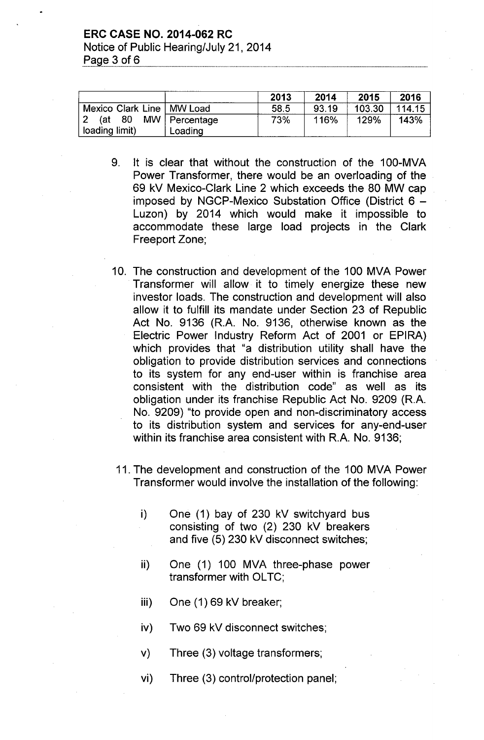#### ERC CASE NO. 2014-062 RC

Notice of Public Hearing/July 21, 2014 Page  $3$  of  $6$ 

|                             |                 | 2013 | 2014  | 2015   | 2016   |
|-----------------------------|-----------------|------|-------|--------|--------|
| Mexico Clark Line   MW Load |                 | 58.5 | 93.19 | 103.30 | 114.15 |
| - 80<br>(at                 | MW   Percentage | 73%  | 116%  | 129%   | 143%   |
| loading limit)              | Loading         |      |       |        |        |

- 9. It is clear that without the construction of the 100-MVA Power Transformer, there would be an overloading of the 69 kV Mexico-Clark Line 2 which exceeds the 80 MW cap imposed by NGCP-Mexico Substation Office (District  $6 -$ Luzon) by 2014 which would make it impossible to accommodate these large load projects in the Clark Freeport Zone;
- 10. The construction and development of the 100 MVA Power Transformer will allow it to timely energize these new investor loads. The construction and development will also allow it to fulfill its mandate under Section 23 of Republic Act No. 9136 (R.A. No. 9136, otherwise known as the Electric Power Industry Reform Act of 2001 or EPIRA) which provides that "a distribution utility shall have the obligation to provide distribution services and connections to its system for any end-user within is franchise area consistent with the distribution code" as well as its obligation under its franchise Republic Act No. 9209 (RA. No. 9209) "to provide open and non-discriminatory access to its distribution system and services for any-end-user within its franchise area consistent with R.A. No. 9136;
	- 11. The development and construction of the 100 MVA Power Transformer would involve the installation of the following:
		- i) One (1) bay of 230 kV switchyard bus consisting of two (2) 230 kV breakers and five (5) 230 kV disconnect switches;
		- ii) One (1) 100 MVA three-phase power transformer with OLTC;
		- iii) One (1) 69 kV breaker;
		- iv) Two 69 kV disconnect switches;
		- v) Three (3) voltage transformers;
		- vi) Three (3) control/protection panel;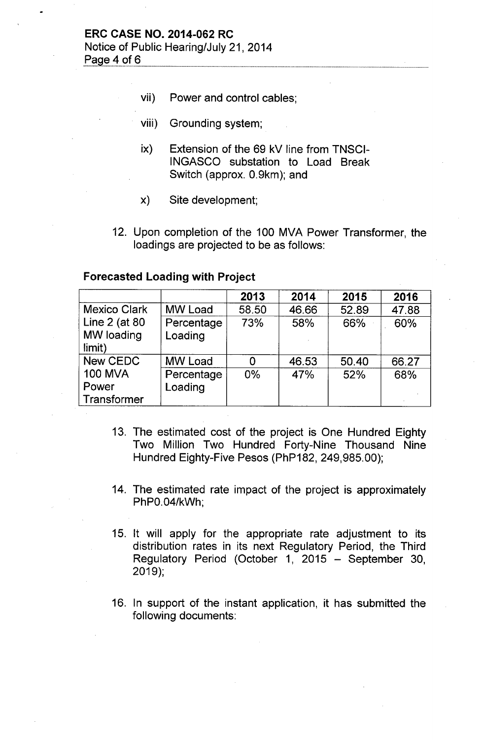Page 4 of  $6$ 

- vii) Power and control cables;
- viii) Grounding system;
- ix) Extension of the 69 kV line from TNSCI-INGASCO substation to Load Break Switch (approx. 0.9km); and
- x) Site development;
- 12. Upon completion of the 100 MVA Power Transformer, the loadings are projected to be as follows:

### **Forecasted Loading with Project**

|                     |                | 2013  | 2014  | 2015  | 2016  |
|---------------------|----------------|-------|-------|-------|-------|
| <b>Mexico Clark</b> | <b>MW Load</b> | 58.50 | 46.66 | 52.89 | 47.88 |
| Line 2 (at 80       | Percentage     | 73%   | 58%   | 66%   | 60%   |
| MW loading          | Loading        |       |       |       |       |
| limit)              |                |       |       |       |       |
| New CEDC            | <b>MW Load</b> | 0     | 46.53 | 50.40 | 66.27 |
| <b>100 MVA</b>      | Percentage     | $0\%$ | 47%   | 52%   | 68%   |
| Power               | Loading        |       |       |       |       |
| Transformer         |                |       |       |       |       |

- 13. The estimated cost of the project is One Hundred Eighty Two Million Two Hundred Forty-Nine Thousand Nine Hundred Eighty-Five Pesos (PhP182, 249,985.00);
- 14. The estimated rate impact of the project is approximately PhPO.04/kWh;
- 15. It will apply for the appropriate rate adjustment to its distribution rates in its next Regulatory Period, the Third Regulatory Period (October 1, 2015 - September 30, 2019);
- 16. In support of the instant application, it has submitted the following documents: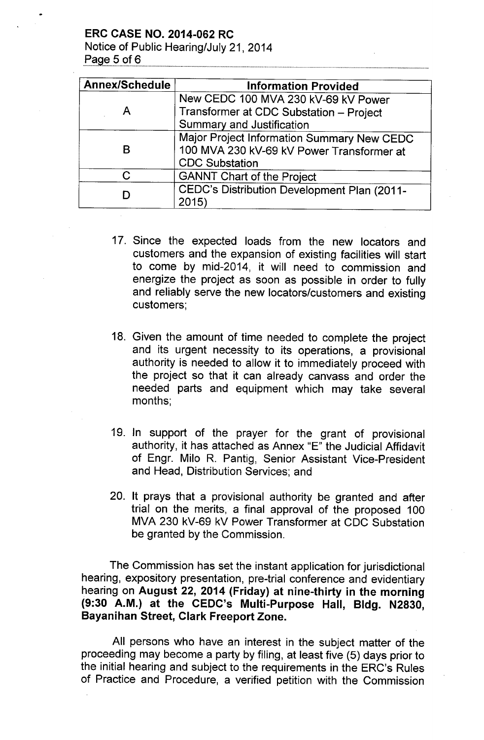ERC CASE NO. 2014-062 RC

Notice of Public Hearing/July 21, 2014 Page  $5$  of  $6$ 

| <b>Annex/Schedule</b> | <b>Information Provided</b>                 |
|-----------------------|---------------------------------------------|
|                       | New CEDC 100 MVA 230 kV-69 kV Power         |
|                       | Transformer at CDC Substation - Project     |
|                       | <b>Summary and Justification</b>            |
|                       | Major Project Information Summary New CEDC  |
| В                     | 100 MVA 230 kV-69 kV Power Transformer at   |
|                       | <b>CDC Substation</b>                       |
| C.                    | <b>GANNT Chart of the Project</b>           |
|                       | CEDC's Distribution Development Plan (2011- |
|                       | 2015)                                       |

- 17. Since the expected loads from the new locators and customers and the expansion of existing facilities will start to come by mid-2014, it will need to commission and energize the project as soon as possible in order to fully and reliably serve the new locators/customers and existing customers;
- 18. Given the amount of time needed to complete the project and its urgent necessity to its operations, a provisional authority is needed to allow it to immediately proceed with the project so that it can already canvass and order the needed parts and equipment which may take several months;
- 19. In support of the prayer for the grant of provisional authority, it has attached as Annex "E" the Judicial Affidavit of Engr. Milo R. Pantig, Senior Assistant Vice-President and Head, Distribution Services; and
- 20. It prays that a provisional authority be granted and after trial on the merits, a final approval of the proposed 100 MVA 230 kV-69 kV Power Transformer at CDC Substation be granted by the Commission.

The Commission has set the instant application for jurisdictional hearing, expository presentation, pre-trial conference and evidentiary hearing on August 22, 2014 (Friday) at nine-thirty in the morning (9:30 A.M.) at the CEDC's Multi-Purpose Hall, Bldg. N2830, Bayanihan Street, Clark Freeport Zone.

All persons who have an interest in the subject matter of the proceeding may become a party by filing, at least five (5) days prior to the initial hearing and subject to the requirements in the ERC's Rules of Practice and Procedure, a verified petition with the Commission